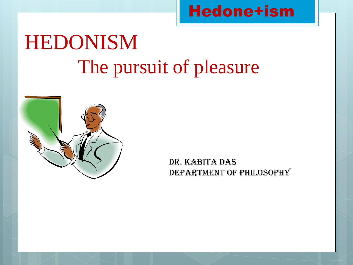## Hedone+ism

# HEDONISM The pursuit of pleasure



Dr. Kabita Das Department of Philosophy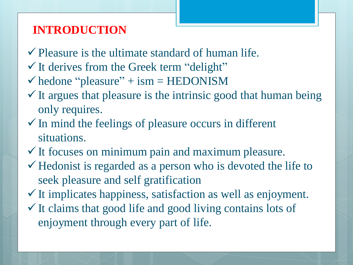### **INTRODUCTION**

- $\checkmark$  Pleasure is the ultimate standard of human life.
- $\checkmark$  It derives from the Greek term "delight"
- $\checkmark$  hedone "pleasure" + ism = HEDONISM
- $\checkmark$  It argues that pleasure is the intrinsic good that human being only requires.
- $\checkmark$  In mind the feelings of pleasure occurs in different situations.
- $\checkmark$  It focuses on minimum pain and maximum pleasure.
- $\checkmark$  Hedonist is regarded as a person who is devoted the life to seek pleasure and self gratification
- $\checkmark$  It implicates happiness, satisfaction as well as enjoyment.
- $\checkmark$  It claims that good life and good living contains lots of enjoyment through every part of life.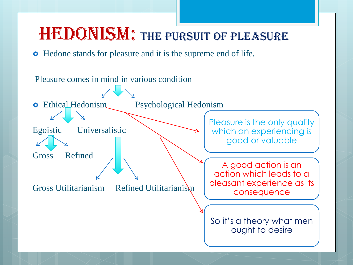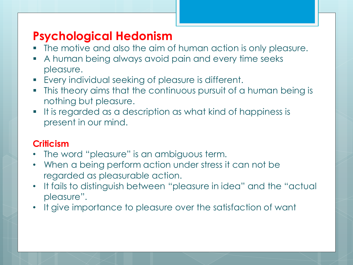## **Psychological Hedonism**

- The motive and also the aim of human action is only pleasure.
- A human being always avoid pain and every time seeks pleasure.
- Every individual seeking of pleasure is different.
- This theory aims that the continuous pursuit of a human being is nothing but pleasure.
- It is regarded as a description as what kind of happiness is present in our mind.

#### **Criticism**

- The word "pleasure" is an ambiguous term.
- When a being perform action under stress it can not be regarded as pleasurable action.
- It fails to distinguish between "pleasure in idea" and the "actual pleasure".
- It give importance to pleasure over the satisfaction of want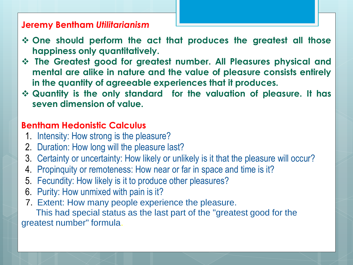#### **Jeremy Bentham** *Utilitarianism*

- **One should perform the act that produces the greatest all those happiness only quantitatively.**
- **The Greatest good for greatest number. All Pleasures physical and mental are alike in nature and the value of pleasure consists entirely in the quantity of agreeable experiences that it produces.**
- **Quantity is the only standard for the valuation of pleasure. It has seven dimension of value.**

#### **Bentham Hedonistic Calculus**

- 1. Intensity: How strong is the pleasure?
- 2. Duration: How long will the pleasure last?
- 3. Certainty or uncertainty: How likely or unlikely is it that the pleasure will occur?
- 4. Propinquity or remoteness: How near or far in space and time is it?
- 5. Fecundity: How likely is it to produce other pleasures?
- 6. Purity: How unmixed with pain is it?
- 7. Extent: How many people experience the pleasure.

This had special status as the last part of the "greatest good for the greatest number" formula.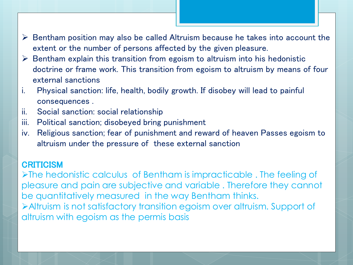- $\triangleright$  Bentham position may also be called Altruism because he takes into account the extent or the number of persons affected by the given pleasure.
- $\triangleright$  Bentham explain this transition from egoism to altruism into his hedonistic doctrine or frame work. This transition from egoism to altruism by means of four external sanctions
- i. Physical sanction: life, health, bodily growth. If disobey will lead to painful consequences .
- ii. Social sanction: social relationship
- iii. Political sanction; disobeyed bring punishment
- iv. Religious sanction; fear of punishment and reward of heaven Passes egoism to altruism under the pressure of these external sanction

#### **CRITICISM**

 $\triangleright$ The hedonistic calculus of Bentham is impracticable. The feeling of pleasure and pain are subjective and variable . Therefore they cannot be quantitatively measured in the way Bentham thinks. Altruism is not satisfactory transition egoism over altruism. Support of altruism with egoism as the permis basis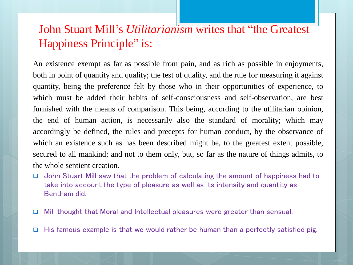## John Stuart Mill's *Utilitarianism* writes that "the Greatest Happiness Principle" is:

An existence exempt as far as possible from pain, and as rich as possible in enjoyments, both in point of quantity and quality; the test of quality, and the rule for measuring it against quantity, being the preference felt by those who in their opportunities of experience, to which must be added their habits of self-consciousness and self-observation, are best furnished with the means of comparison. This being, according to the utilitarian opinion, the end of human action, is necessarily also the standard of morality; which may accordingly be defined, the rules and precepts for human conduct, by the observance of which an existence such as has been described might be, to the greatest extent possible, secured to all mankind; and not to them only, but, so far as the nature of things admits, to the whole sentient creation.

- □ John Stuart Mill saw that the problem of calculating the amount of happiness had to take into account the type of pleasure as well as its intensity and quantity as Bentham did.
- □ Mill thought that Moral and Intellectual pleasures were greater than sensual.
- $\Box$  His famous example is that we would rather be human than a perfectly satisfied pig.